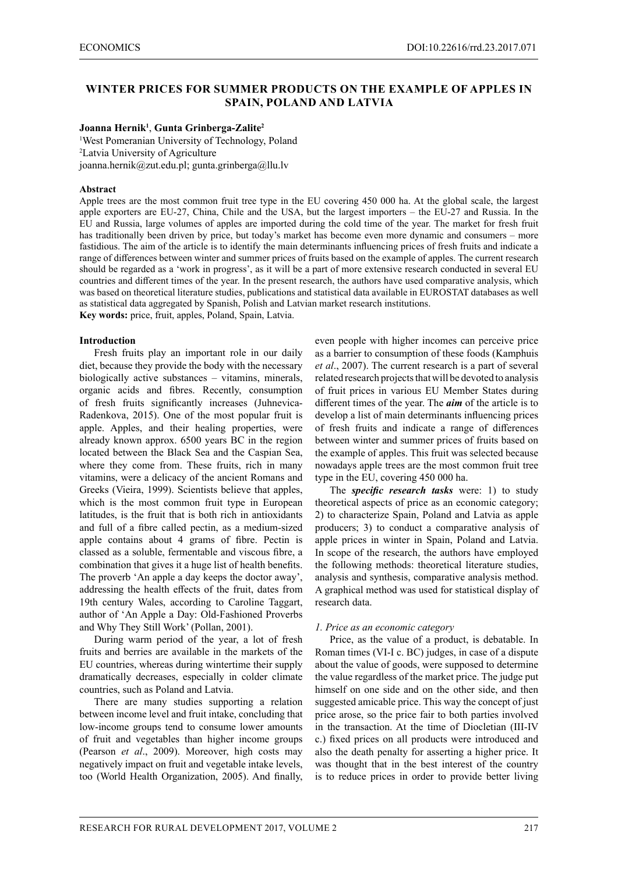# **WINTER PRICES FOR SUMMER PRODUCTS ON THE EXAMPLE OF APPLES IN SPAIN, POLAND AND LATVIA**

#### **Joanna Hernik1** , **Gunta Grinberga-Zalite<sup>2</sup>**

<sup>1</sup>West Pomeranian University of Technology, Poland 2 Latvia University of Agriculture joanna.hernik@zut.edu.pl; gunta.grinberga@llu.lv

### **Abstract**

Apple trees are the most common fruit tree type in the EU covering 450 000 ha. At the global scale, the largest apple exporters are EU-27, China, Chile and the USA, but the largest importers – the EU-27 and Russia. In the EU and Russia, large volumes of apples are imported during the cold time of the year. The market for fresh fruit has traditionally been driven by price, but today's market has become even more dynamic and consumers – more fastidious. The aim of the article is to identify the main determinants influencing prices of fresh fruits and indicate a range of differences between winter and summer prices of fruits based on the example of apples. The current research should be regarded as a 'work in progress', as it will be a part of more extensive research conducted in several EU countries and different times of the year. In the present research, the authors have used comparative analysis, which was based on theoretical literature studies, publications and statistical data available in EUROSTAT databases as well as statistical data aggregated by Spanish, Polish and Latvian market research institutions. **Key words:** price, fruit, apples, Poland, Spain, Latvia.

**Introduction**

Fresh fruits play an important role in our daily diet, because they provide the body with the necessary biologically active substances – vitamins, minerals, organic acids and fibres. Recently, consumption of fresh fruits significantly increases (Juhnevica-Radenkova, 2015). One of the most popular fruit is apple. Apples, and their healing properties, were already known approx. 6500 years BC in the region located between the Black Sea and the Caspian Sea, where they come from. These fruits, rich in many vitamins, were a delicacy of the ancient Romans and Greeks (Vieira, 1999). Scientists believe that apples, which is the most common fruit type in European latitudes, is the fruit that is both rich in antioxidants and full of a fibre called pectin, as a medium-sized apple contains about 4 grams of fibre. Pectin is classed as a soluble, fermentable and viscous fibre, a combination that gives it a huge list of health benefits. The proverb 'An apple a day keeps the doctor away', addressing the health effects of the fruit, dates from 19th century Wales, according to Caroline Taggart, author of 'An Apple a Day: Old-Fashioned Proverbs and Why They Still Work' (Pollan, 2001).

During warm period of the year, a lot of fresh fruits and berries are available in the markets of the EU countries, whereas during wintertime their supply dramatically decreases, especially in colder climate countries, such as Poland and Latvia.

There are many studies supporting a relation between income level and fruit intake, concluding that low-income groups tend to consume lower amounts of fruit and vegetables than higher income groups (Pearson *et al*., 2009). Moreover, high costs may negatively impact on fruit and vegetable intake levels, too (World Health Organization, 2005). And finally,

even people with higher incomes can perceive price as a barrier to consumption of these foods (Kamphuis *et al*., 2007). The current research is a part of several related research projects that will be devoted to analysis of fruit prices in various EU Member States during different times of the year. The *aim* of the article is to develop a list of main determinants influencing prices of fresh fruits and indicate a range of differences between winter and summer prices of fruits based on the example of apples. This fruit was selected because nowadays apple trees are the most common fruit tree type in the EU, covering 450 000 ha.

The *specific research tasks* were: 1) to study theoretical aspects of price as an economic category; 2) to characterize Spain, Poland and Latvia as apple producers; 3) to conduct a comparative analysis of apple prices in winter in Spain, Poland and Latvia. In scope of the research, the authors have employed the following methods: theoretical literature studies, analysis and synthesis, comparative analysis method. A graphical method was used for statistical display of research data.

#### *1. Price as an economic category*

Price, as the value of a product, is debatable. In Roman times (VI-I c. BC) judges, in case of a dispute about the value of goods, were supposed to determine the value regardless of the market price. The judge put himself on one side and on the other side, and then suggested amicable price. This way the concept of just price arose, so the price fair to both parties involved in the transaction. At the time of Diocletian (III-IV c.) fixed prices on all products were introduced and also the death penalty for asserting a higher price. It was thought that in the best interest of the country is to reduce prices in order to provide better living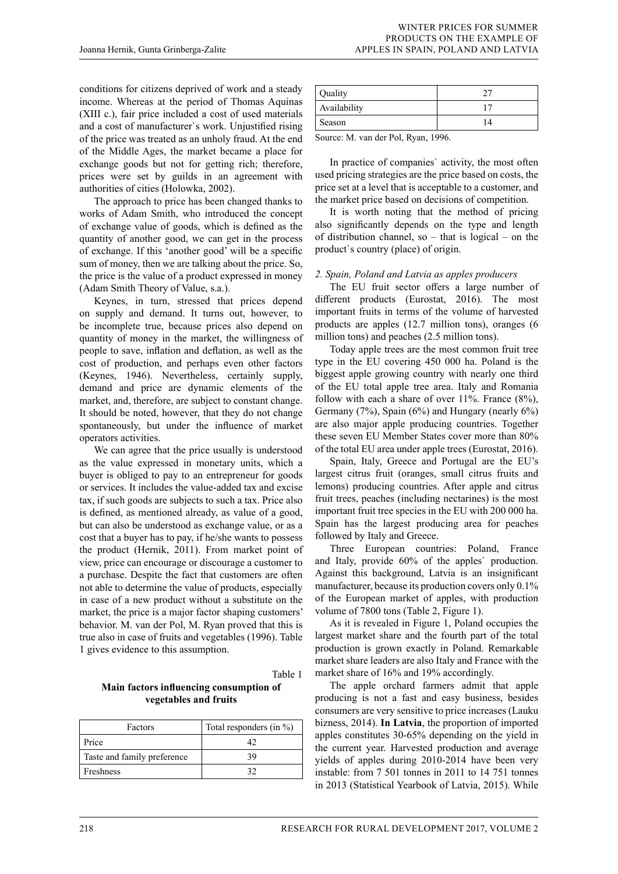conditions for citizens deprived of work and a steady income. Whereas at the period of Thomas Aquinas (XIII c.), fair price included a cost of used materials and a cost of manufacturer`s work. Unjustified rising of the price was treated as an unholy fraud. At the end of the Middle Ages, the market became a place for exchange goods but not for getting rich; therefore, prices were set by guilds in an agreement with authorities of cities (Holowka, 2002).

The approach to price has been changed thanks to works of Adam Smith, who introduced the concept of exchange value of goods, which is defined as the quantity of another good, we can get in the process of exchange. If this 'another good' will be a specific sum of money, then we are talking about the price. So, the price is the value of a product expressed in money (Adam Smith Theory of Value, s.a.).

Keynes, in turn, stressed that prices depend on supply and demand. It turns out, however, to be incomplete true, because prices also depend on quantity of money in the market, the willingness of people to save, inflation and deflation, as well as the cost of production, and perhaps even other factors (Keynes, 1946). Nevertheless, certainly supply, demand and price are dynamic elements of the market, and, therefore, are subject to constant change. It should be noted, however, that they do not change spontaneously, but under the influence of market operators activities.

We can agree that the price usually is understood as the value expressed in monetary units, which a buyer is obliged to pay to an entrepreneur for goods or services. It includes the value-added tax and excise tax, if such goods are subjects to such a tax. Price also is defined, as mentioned already, as value of a good, but can also be understood as exchange value, or as a cost that a buyer has to pay, if he/she wants to possess the product (Hernik, 2011). From market point of view, price can encourage or discourage a customer to a purchase. Despite the fact that customers are often not able to determine the value of products, especially in case of a new product without a substitute on the market, the price is a major factor shaping customers' behavior. M. van der Pol, M. Ryan proved that this is true also in case of fruits and vegetables (1996). Table 1 gives evidence to this assumption.

Table 1

**Main factors influencing consumption of vegetables and fruits**

| Factors                     | Total responders (in %) |  |
|-----------------------------|-------------------------|--|
| Price                       |                         |  |
| Taste and family preference | 39                      |  |
| Freshness                   |                         |  |

| Quality      |  |
|--------------|--|
| Availability |  |
| Season       |  |

Source: M. van der Pol, Ryan, 1996.

In practice of companies` activity, the most often used pricing strategies are the price based on costs, the price set at a level that is acceptable to a customer, and the market price based on decisions of competition.

It is worth noting that the method of pricing also significantly depends on the type and length of distribution channel, so  $-$  that is logical  $-$  on the product`s country (place) of origin.

## *2. Spain, Poland and Latvia as apples producers*

The EU fruit sector offers a large number of different products (Eurostat, 2016). The most important fruits in terms of the volume of harvested products are apples (12.7 million tons), oranges (6 million tons) and peaches (2.5 million tons).

Today apple trees are the most common fruit tree type in the EU covering 450 000 ha. Poland is the biggest apple growing country with nearly one third of the EU total apple tree area. Italy and Romania follow with each a share of over 11%. France (8%), Germany (7%), Spain (6%) and Hungary (nearly 6%) are also major apple producing countries. Together these seven EU Member States cover more than 80% of the total EU area under apple trees (Eurostat, 2016).

Spain, Italy, Greece and Portugal are the EU's largest citrus fruit (oranges, small citrus fruits and lemons) producing countries. After apple and citrus fruit trees, peaches (including nectarines) is the most important fruit tree species in the EU with 200 000 ha. Spain has the largest producing area for peaches followed by Italy and Greece.

Three European countries: Poland, France and Italy, provide 60% of the apples` production. Against this background, Latvia is an insignificant manufacturer, because its production covers only 0.1% of the European market of apples, with production volume of 7800 tons (Table 2, Figure 1).

As it is revealed in Figure 1, Poland occupies the largest market share and the fourth part of the total production is grown exactly in Poland. Remarkable market share leaders are also Italy and France with the market share of 16% and 19% accordingly.

The apple orchard farmers admit that apple producing is not a fast and easy business, besides consumers are very sensitive to price increases (Lauku bizness, 2014). **In Latvia**, the proportion of imported apples constitutes 30-65% depending on the yield in the current year. Harvested production and average yields of apples during 2010-2014 have been very instable: from 7 501 tonnes in 2011 to 14 751 tonnes in 2013 (Statistical Yearbook of Latvia, 2015). While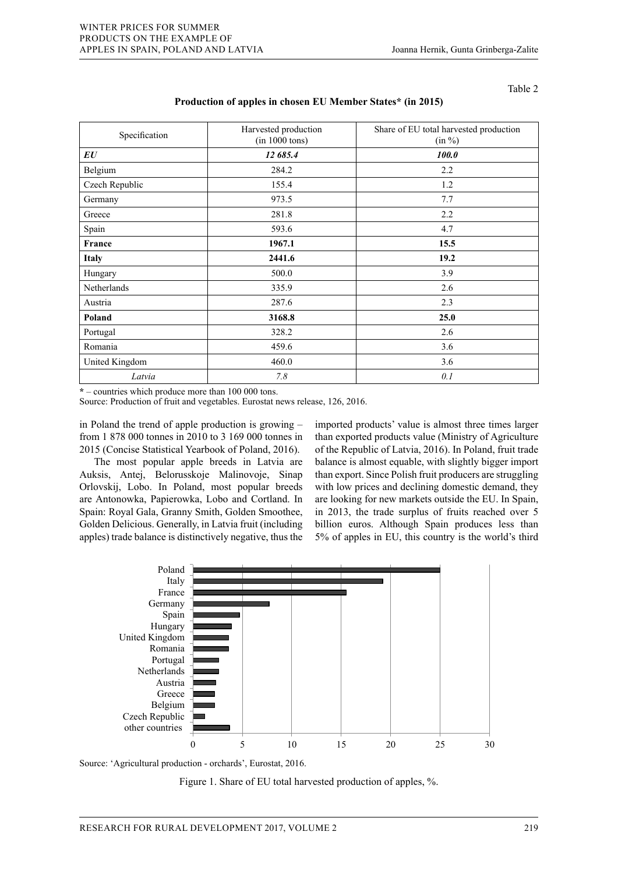Table 2

| Specification  | Harvested production<br>(in 1000 tons) | Share of EU total harvested production<br>$(in \%)$ |
|----------------|----------------------------------------|-----------------------------------------------------|
| EU             | 12 685.4                               | 100.0                                               |
| Belgium        | 284.2                                  | 2.2                                                 |
| Czech Republic | 155.4                                  | 1.2                                                 |
| Germany        | 973.5                                  | 7.7                                                 |
| Greece         | 281.8                                  | 2.2                                                 |
| Spain          | 593.6                                  | 4.7                                                 |
| France         | 1967.1                                 | 15.5                                                |
| <b>Italy</b>   | 2441.6                                 | 19.2                                                |
| Hungary        | 500.0                                  | 3.9                                                 |
| Netherlands    | 335.9                                  | 2.6                                                 |
| Austria        | 287.6                                  | 2.3                                                 |
| Poland         | 3168.8                                 | 25.0                                                |
| Portugal       | 328.2                                  | 2.6                                                 |
| Romania        | 459.6                                  | 3.6                                                 |
| United Kingdom | 460.0                                  | 3.6                                                 |
| Latvia         | 7.8                                    | 0.1                                                 |

### **Production of apples in chosen EU Member States\* (in 2015)**

 $*$  – countries which produce more than 100 000 tons.

Source: Production of fruit and vegetables. Eurostat news release, 126, 2016.

in Poland the trend of apple production is growing - imported products' value is almost from 1 878 000 tonnes in 2010 to 3 169 000 tonnes in than exported products value (Mini 2015 (Concise Statistical Yearbook of Poland, 2016). of the Republic of Latvia, 2016). In

The most popular apple breeds in Latvia are balance is almost equable Auksis, Antej, Belorusskoje Malinovoje, Sinap Orlovskij, Lobo. In Poland, most popular breeds Shovskij, Ecoo. In Found, host popular ofecas with low prices and are Antonowka, Papierowka, Lobo and Cortland. In are looking for new Spain: Royal Gala, Granny Smith, Golden Smoothee, in 2013, the trade surplus of fruits reached over 5 Golden Delicious. Generally, in Latvia fruit (including billion euros. Although Spain produces less than apples) trade balance is distinctively negative, thus the

imported products' value is almost three times larger than exported products value (Ministry of Agriculture of the Republic of Latvia, 2016). In Poland, fruit trade balance is almost equable, with slightly bigger import than export. Since Polish fruit producers are struggling with low prices and declining domestic demand, they are looking for new markets outside the EU. In Spain, in 2013, the trade surplus of fruits reached over 5 billion euros. Although Spain produces less than 5% of apples in EU, this country is the world's third



Source: 'Agricultural production - orchards', Eurostat, 2016. Source: 'Agricultural production - orchards', Eurostat, 2016.  $\begin{bmatrix} 1 & 0 & 0 \\ 0 & 0 & 0 \\ 0 & 0 & 0 \end{bmatrix}$ 

Figure 1. Share of EU total harvested production of apples, %.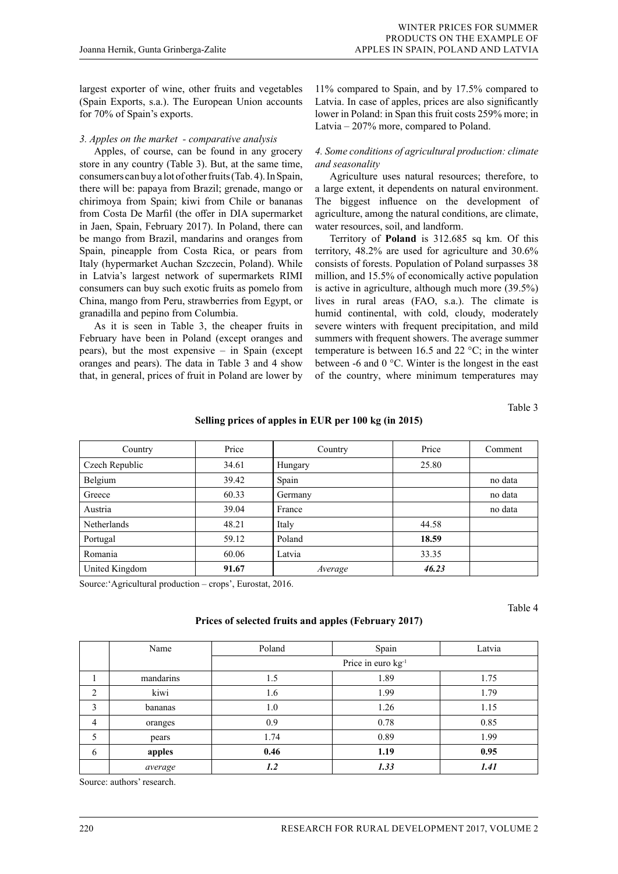largest exporter of wine, other fruits and vegetables (Spain Exports, s.a.). The European Union accounts for 70% of Spain's exports.

### *3. Apples on the market - comparative analysis*

Apples, of course, can be found in any grocery store in any country (Table 3). But, at the same time, consumers can buy a lot of other fruits (Tab. 4). In Spain, there will be: papaya from Brazil; grenade, mango or chirimoya from Spain; kiwi from Chile or bananas from Costa De Marfil (the offer in DIA supermarket in Jaen, Spain, February 2017). In Poland, there can be mango from Brazil, mandarins and oranges from Spain, pineapple from Costa Rica, or pears from Italy (hypermarket Auchan Szczecin, Poland). While in Latvia's largest network of supermarkets RIMI consumers can buy such exotic fruits as pomelo from China, mango from Peru, strawberries from Egypt, or granadilla and pepino from Columbia.

As it is seen in Table 3, the cheaper fruits in February have been in Poland (except oranges and pears), but the most expensive – in Spain (except oranges and pears). The data in Table 3 and 4 show that, in general, prices of fruit in Poland are lower by

11% compared to Spain, and by 17.5% compared to Latvia. In case of apples, prices are also significantly lower in Poland: in Span this fruit costs 259% more; in Latvia – 207% more, compared to Poland.

## *4. Some conditions of agricultural production: climate and seasonality*

Agriculture uses natural resources; therefore, to a large extent, it dependents on natural environment. The biggest influence on the development of agriculture, among the natural conditions, are climate, water resources, soil, and landform.

Territory of **Poland** is 312.685 sq km. Of this territory, 48.2% are used for agriculture and 30.6% consists of forests. Population of Poland surpasses 38 million, and 15.5% of economically active population is active in agriculture, although much more (39.5%) lives in rural areas (FAO, s.a.). The climate is humid continental, with cold, cloudy, moderately severe winters with frequent precipitation, and mild summers with frequent showers. The average summer temperature is between 16.5 and 22  $\,^{\circ}\text{C}$ ; in the winter between -6 and 0 °C. Winter is the longest in the east of the country, where minimum temperatures may

Table 3

## **Selling prices of apples in EUR per 100 kg (in 2015)**

| Country            | Price | Country | Price | Comment |
|--------------------|-------|---------|-------|---------|
| Czech Republic     | 34.61 | Hungary | 25.80 |         |
| Belgium            | 39.42 | Spain   |       | no data |
| Greece             | 60.33 | Germany |       | no data |
| Austria            | 39.04 | France  |       | no data |
| <b>Netherlands</b> | 48.21 | Italy   | 44.58 |         |
| Portugal           | 59.12 | Poland  | 18.59 |         |
| Romania            | 60.06 | Latvia  | 33.35 |         |
| United Kingdom     | 91.67 | Average | 46.23 |         |

Source:'Agricultural production – crops', Eurostat, 2016.

Table 4

### **Prices of selected fruits and apples (February 2017)**

|                | Name      | Poland                         | Spain | Latvia |
|----------------|-----------|--------------------------------|-------|--------|
|                |           | Price in euro kg <sup>-1</sup> |       |        |
|                | mandarins | 1.5                            | 1.89  | 1.75   |
| $\overline{2}$ | kiwi      | 1.6                            | 1.99  | 1.79   |
| 3              | bananas   | 1.0                            | 1.26  | 1.15   |
| $\overline{4}$ | oranges   | 0.9                            | 0.78  | 0.85   |
| 5              | pears     | 1.74                           | 0.89  | 1.99   |
| 6              | apples    | 0.46                           | 1.19  | 0.95   |
|                | average   | 1.2                            | 1.33  | 1.41   |

Source: authors' research.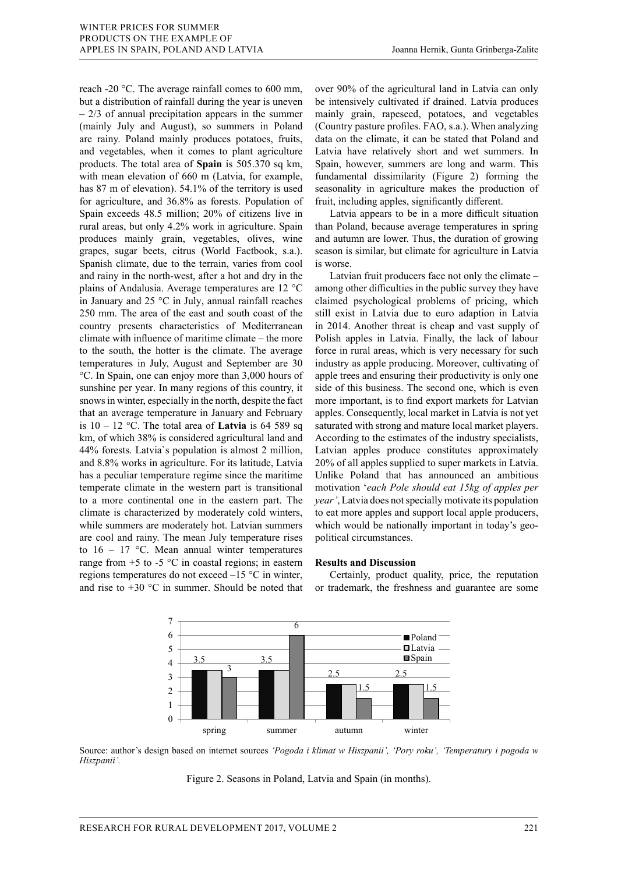reach -20 °C. The average rainfall comes to 600 mm, but a distribution of rainfall during the year is uneven  $-2/3$  of annual precipitation appears in the summer (mainly July and August), so summers in Poland are rainy. Poland mainly produces potatoes, fruits, and vegetables, when it comes to plant agriculture products. The total area of **Spain** is 505.370 sq km, with mean elevation of 660 m (Latvia, for example, has 87 m of elevation). 54.1% of the territory is used for agriculture, and 36.8% as forests. Population of Spain exceeds 48.5 million; 20% of citizens live in rural areas, but only 4.2% work in agriculture. Spain produces mainly grain, vegetables, olives, wine grapes, sugar beets, citrus (World Factbook, s.a.). Spanish climate, due to the terrain, varies from cool and rainy in the north-west, after a hot and dry in the plains of Andalusia. Average temperatures are 12 °C in January and 25 °C in July, annual rainfall reaches 250 mm. The area of the east and south coast of the country presents characteristics of Mediterranean climate with influence of maritime climate – the more to the south, the hotter is the climate. The average temperatures in July, August and September are 30 °C. In Spain, one can enjoy more than 3,000 hours of sunshine per year. In many regions of this country, it snows in winter, especially in the north, despite the fact that an average temperature in January and February is  $10 - 12$  °C. The total area of **Latvia** is 64 589 sq  $km$ , of which 38% is considered agricultural land and  $\frac{1}{2}$ 44% forests. Latvia`s population is almost 2 million, and 8.8% works in agriculture. For its latitude, Latvia has a peculiar temperature regime since the maritime Unlike Poland that has announced an ambitious temperate climate in the western part is transitional to a more continental one in the eastern part. The climate is characterized by moderately cold winters, while summers are moderately hot. Latvian summers are cool and rainy. The mean July temperature rises political circumstances. to  $16 - 17$  °C. Mean annual winter temperatures range from  $+5$  to  $-5$  °C in coastal regions; in eastern **Results and Discussion** regions temperatures do not exceed  $-15$  °C in winter, Certainly, product quality, price, the reputation and rise to  $+30$  °C in summer. Should be noted that or trademark, the freshness and guarantee are some

over 90% of the agricultural land in Latvia can only be intensively cultivated if drained. Latvia produces mainly grain, rapeseed, potatoes, and vegetables (Country pasture profiles. FAO, s.a.). When analyzing data on the climate, it can be stated that Poland and Latvia have relatively short and wet summers. In Spain, however, summers are long and warm. This fundamental dissimilarity (Figure 2) forming the seasonality in agriculture makes the production of fruit, including apples, significantly different.

Latvia appears to be in a more difficult situation than Poland, because average temperatures in spring and autumn are lower. Thus, the duration of growing season is similar, but climate for agriculture in Latvia is worse.

Latvian fruit producers face not only the climate – among other difficulties in the public survey they have claimed psychological problems of pricing, which still exist in Latvia due to euro adaption in Latvia in 2014. Another threat is cheap and vast supply of Polish apples in Latvia. Finally, the lack of labour force in rural areas, which is very necessary for such industry as apple producing. Moreover, cultivating of apple trees and ensuring their productivity is only one side of this business. The second one, which is even more important, is to find export markets for Latvian apples. Consequently, local market in Latvia is not yet saturated with strong and mature local market players. According to the estimates of the industry specialists, Latvian apples produce constitutes approximately 20% of all apples supplied to super markets in Latvia. Unlike Poland that has announced an ambitious emperate climate in the western part is transitional motivation 'each Pole should eat 15kg of apples per o a more continental one in the eastern part. The *year'*, Latvia does not specially motivate its population limate is characterized by moderately cold winters, to eat more apples and support local apple producers, while summers are moderately hot. Latvian summers which would be nationally important in today's geopolitical circumstances.

### **Results and Discussion**

Certainly, product quality, price, the reputation or trademark, the freshness and guarantee are some



Source: author's design based on internet sources 'Pogoda i klimat w Hiszpanii', 'Pory roku', 'Temperatury i pogoda w *pogoda w Hiszpanii'. Hiszpanii'.*

Figure 2. Seasons in Poland, Latvia and Spain (in months). Figure 2. Seasons in Poland, Latvia and Spain (in months).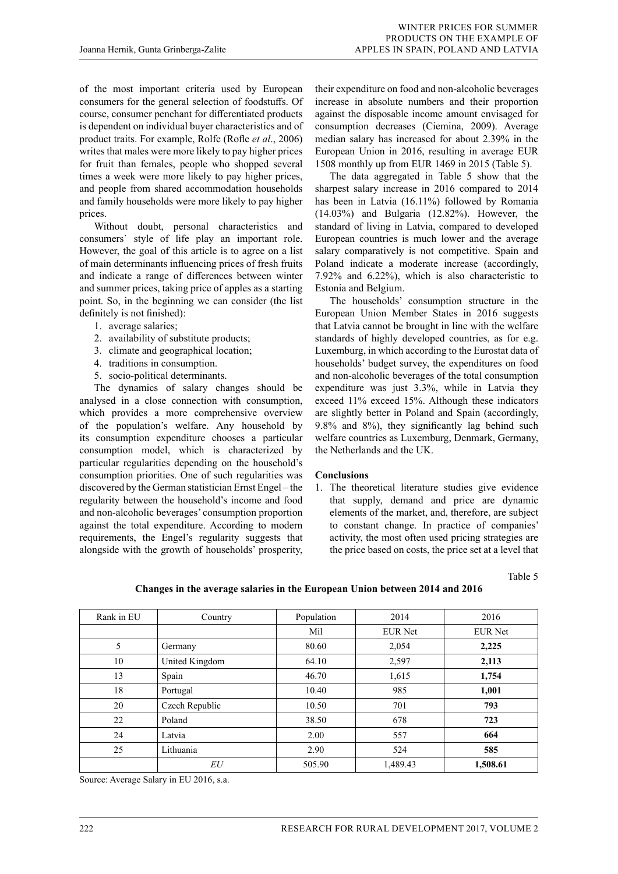of the most important criteria used by European consumers for the general selection of foodstuffs. Of course, consumer penchant for differentiated products is dependent on individual buyer characteristics and of product traits. For example, Rolfe (Rofle *et al*., 2006) writes that males were more likely to pay higher prices for fruit than females, people who shopped several times a week were more likely to pay higher prices, and people from shared accommodation households and family households were more likely to pay higher prices.

Without doubt, personal characteristics and consumers` style of life play an important role. However, the goal of this article is to agree on a list of main determinants influencing prices of fresh fruits and indicate a range of differences between winter and summer prices, taking price of apples as a starting point. So, in the beginning we can consider (the list definitely is not finished):

- 1. average salaries;
- 2. availability of substitute products;
- 3. climate and geographical location;
- 4. traditions in consumption.
- 5. socio-political determinants.

The dynamics of salary changes should be analysed in a close connection with consumption, which provides a more comprehensive overview of the population's welfare. Any household by its consumption expenditure chooses a particular consumption model, which is characterized by particular regularities depending on the household's consumption priorities. One of such regularities was discovered by the German statistician Ernst Engel – the regularity between the household's income and food and non-alcoholic beverages' consumption proportion against the total expenditure. According to modern requirements, the Engel's regularity suggests that alongside with the growth of households' prosperity,

their expenditure on food and non-alcoholic beverages increase in absolute numbers and their proportion against the disposable income amount envisaged for consumption decreases (Ciemina, 2009). Average median salary has increased for about 2.39% in the European Union in 2016, resulting in average EUR 1508 monthly up from EUR 1469 in 2015 (Table 5).

The data aggregated in Table 5 show that the sharpest salary increase in 2016 compared to 2014 has been in Latvia (16.11%) followed by Romania (14.03%) and Bulgaria (12.82%). However, the standard of living in Latvia, compared to developed European countries is much lower and the average salary comparatively is not competitive. Spain and Poland indicate a moderate increase (accordingly, 7.92% and 6.22%), which is also characteristic to Estonia and Belgium.

The households' consumption structure in the European Union Member States in 2016 suggests that Latvia cannot be brought in line with the welfare standards of highly developed countries, as for e.g. Luxemburg, in which according to the Eurostat data of households' budget survey, the expenditures on food and non-alcoholic beverages of the total consumption expenditure was just 3.3%, while in Latvia they exceed 11% exceed 15%. Although these indicators are slightly better in Poland and Spain (accordingly, 9.8% and 8%), they significantly lag behind such welfare countries as Luxemburg, Denmark, Germany, the Netherlands and the UK.

### **Conclusions**

1. The theoretical literature studies give evidence that supply, demand and price are dynamic elements of the market, and, therefore, are subject to constant change. In practice of companies' activity, the most often used pricing strategies are the price based on costs, the price set at a level that

Table 5

| Rank in EU | Country        | Population | 2014           | 2016           |
|------------|----------------|------------|----------------|----------------|
|            |                | Mil        | <b>EUR Net</b> | <b>EUR Net</b> |
| 5          | Germany        | 80.60      | 2,054          | 2,225          |
| 10         | United Kingdom | 64.10      | 2,597          | 2,113          |
| 13         | Spain          | 46.70      | 1,615          | 1,754          |
| 18         | Portugal       | 10.40      | 985            | 1,001          |
| 20         | Czech Republic | 10.50      | 701            | 793            |
| 22         | Poland         | 38.50      | 678            | 723            |
| 24         | Latvia         | 2.00       | 557            | 664            |
| 25         | Lithuania      | 2.90       | 524            | 585            |
|            | EU             | 505.90     | 1,489.43       | 1,508.61       |

**Changes in the average salaries in the European Union between 2014 and 2016**

Source: Average Salary in EU 2016, s.a.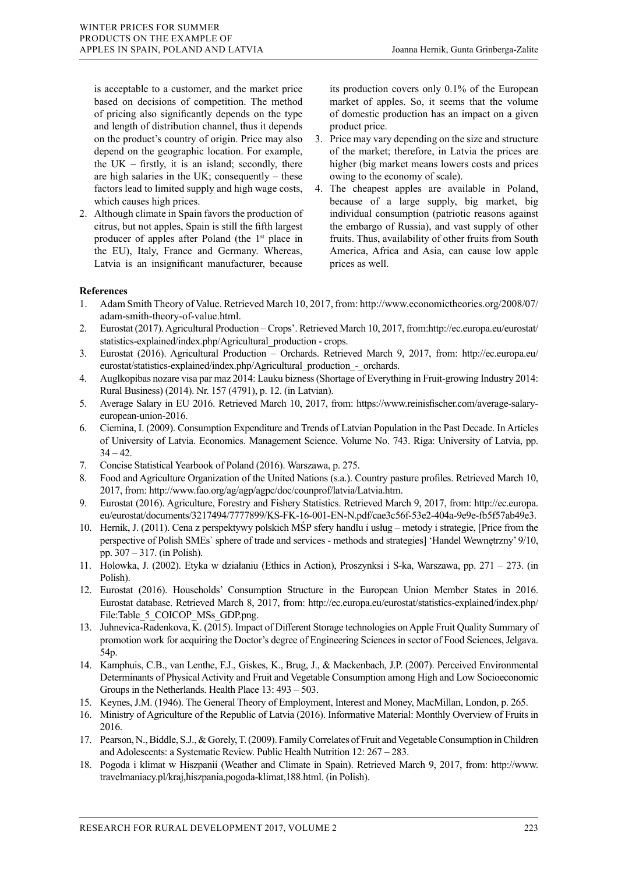is acceptable to a customer, and the market price based on decisions of competition. The method of pricing also significantly depends on the type and length of distribution channel, thus it depends on the product's country of origin. Price may also depend on the geographic location. For example, the  $UK - firstly$ , it is an island; secondly, there are high salaries in the UK; consequently – these factors lead to limited supply and high wage costs, which causes high prices.

2. Although climate in Spain favors the production of citrus, but not apples, Spain is still the fifth largest producer of apples after Poland (the 1<sup>st</sup> place in the EU), Italy, France and Germany. Whereas, Latvia is an insignificant manufacturer, because its production covers only 0.1% of the European market of apples. So, it seems that the volume of domestic production has an impact on a given product price.

- 3. Price may vary depending on the size and structure of the market; therefore, in Latvia the prices are higher (big market means lowers costs and prices owing to the economy of scale).
- 4. The cheapest apples are available in Poland, because of a large supply, big market, big individual consumption (patriotic reasons against the embargo of Russia), and vast supply of other fruits. Thus, availability of other fruits from South America, Africa and Asia, can cause low apple prices as well.

## **References**

- 1. Adam Smith Theory of Value. Retrieved March 10, 2017, from: http://www.economictheories.org/2008/07/ adam-smith-theory-of-value.html.
- 2. Eurostat (2017). Agricultural Production Crops'. Retrieved March 10, 2017, from:http://ec.europa.eu/eurostat/ statistics-explained/index.php/Agricultural\_production - crops.
- 3. Eurostat (2016). Agricultural Production Orchards. Retrieved March 9, 2017, from: http://ec.europa.eu/ eurostat/statistics-explained/index.php/Agricultural production - orchards.
- 4. Auglkopibas nozare visa par maz 2014: Lauku bizness (Shortage of Everything in Fruit-growing Industry 2014: Rural Business) (2014). Nr. 157 (4791), p. 12. (in Latvian).
- 5. Average Salary in EU 2016. Retrieved March 10, 2017, from: https://www.reinisfischer.com/average-salaryeuropean-union-2016.
- 6. Ciemina, I. (2009). Consumption Expenditure and Trends of Latvian Population in the Past Decade. In Articles of University of Latvia. Economics. Management Science. Volume No. 743. Riga: University of Latvia, pp.  $34 - 42$ .
- 7. Concise Statistical Yearbook of Poland (2016). Warszawa, p. 275.
- 8. Food and Agriculture Organization of the United Nations (s.a.). Country pasture profiles. Retrieved March 10, 2017, from: http://www.fao.org/ag/agp/agpc/doc/counprof/latvia/Latvia.htm.
- 9. Eurostat (2016). Agriculture, Forestry and Fishery Statistics. Retrieved March 9, 2017, from: http://ec.europa. eu/eurostat/documents/3217494/7777899/KS-FK-16-001-EN-N.pdf/cae3c56f-53e2-404a-9e9e-fb5f57ab49e3.
- 10. Hernik, J. (2011). Cena z perspektywy polskich MŚP sfery handlu i usług metody i strategie, [Price from the perspective of Polish SMEs` sphere of trade and services - methods and strategies] 'Handel Wewnętrzny' 9/10, pp. 307 – 317. (in Polish).
- 11. Holowka, J. (2002). Etyka w działaniu (Ethics in Action), Proszynksi i S-ka, Warszawa, pp. 271 273. (in Polish).
- 12. Eurostat (2016). Households' Consumption Structure in the European Union Member States in 2016. Eurostat database. Retrieved March 8, 2017, from: http://ec.europa.eu/eurostat/statistics-explained/index.php/ File:Table\_5\_COICOP\_MSs\_GDP.png.
- 13. Juhnevica-Radenkova, K. (2015). Impact of Different Storage technologies on Apple Fruit Quality Summary of promotion work for acquiring the Doctor's degree of Engineering Sciences in sector of Food Sciences, Jelgava. 54p.
- 14. Kamphuis, C.B., van Lenthe, F.J., Giskes, K., Brug, J., & Mackenbach, J.P. (2007). Perceived Environmental Determinants of Physical Activity and Fruit and Vegetable Consumption among High and Low Socioeconomic Groups in the Netherlands. Health Place 13: 493 – 503.
- 15. Keynes, J.M. (1946). The General Theory of Employment, Interest and Money, MacMillan, London, p. 265.
- 16. Ministry of Agriculture of the Republic of Latvia (2016). Informative Material: Monthly Overview of Fruits in 2016.
- 17. Pearson, N., Biddle, S.J., & Gorely, T. (2009). Family Correlates of Fruit and Vegetable Consumption in Children and Adolescents: a Systematic Review. Public Health Nutrition 12: 267 – 283.
- 18. Pogoda i klimat w Hiszpanii (Weather and Climate in Spain). Retrieved March 9, 2017, from: http://www. travelmaniacy.pl/kraj,hiszpania,pogoda-klimat,188.html. (in Polish).